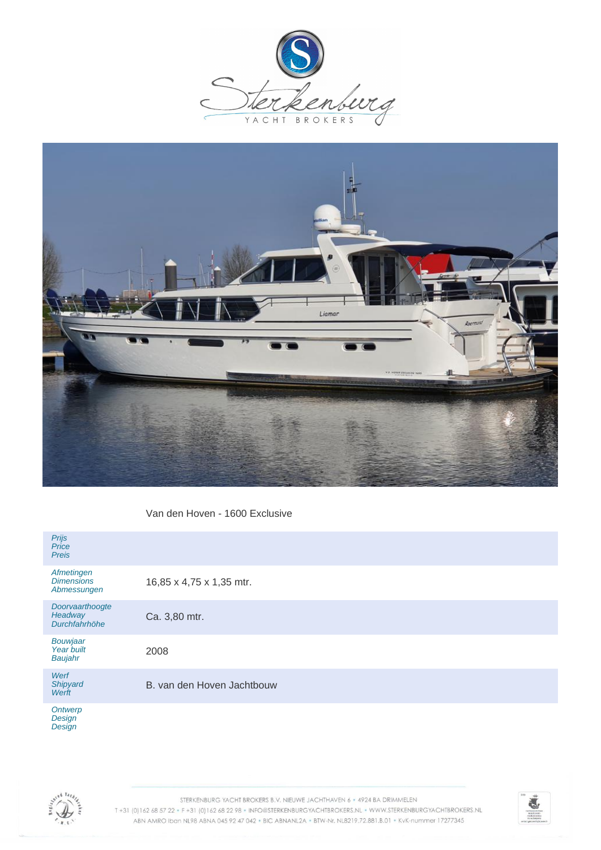



Van den Hoven - 1600 Exclusive

| Prijs<br>Price<br><b>Preis</b>                 |                            |
|------------------------------------------------|----------------------------|
| Afmetingen<br><b>Dimensions</b><br>Abmessungen | 16,85 x 4,75 x 1,35 mtr.   |
| Doorvaarthoogte<br>Headway<br>Durchfahrhöhe    | Ca. 3,80 mtr.              |
| Bouwjaar<br>Year built<br>Baujahr              | 2008                       |
| Werf<br>Shipyard<br>Werft                      | B. van den Hoven Jachtbouw |
| Ontwerp                                        |                            |

**Design Design** 



STERKENBURG YACHT BROKERS B.V. NIEUWE JACHTHAVEN 6 · 4924 BA DRIMMELEN T+31 (0) 162 68 57 22 · F+31 (0) 162 68 22 98 · INFO@STERKENBURGYACHTBROKERS.NL · WWW.STERKENBURGYACHTBROKERS.NL ABN AMRO Iban NL98 ABNA 045 92 47 042 . BIC ABNANL2A . BTW-Nr. NL8219.72.881.B.01 . KvK-nummer 17277345

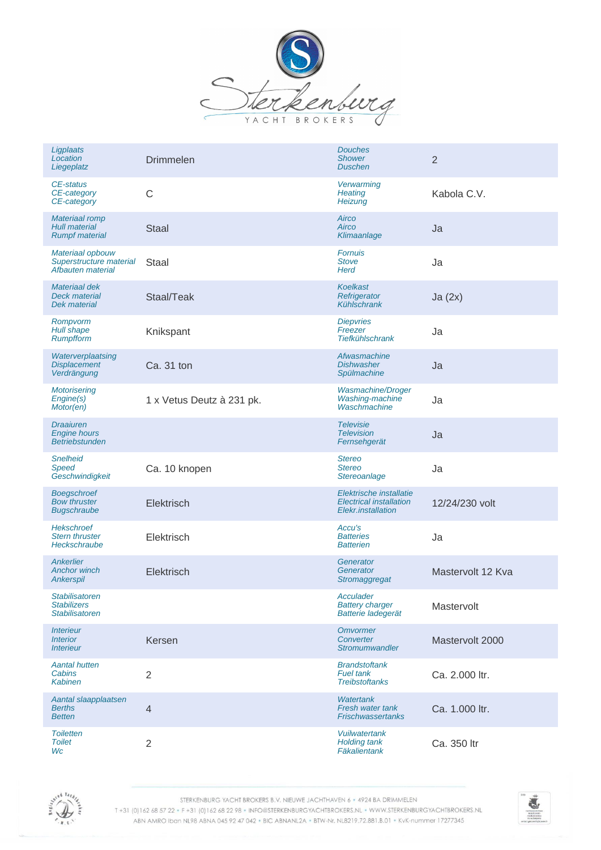

| Ligplaats<br>Location<br>Liegeplatz                                    | <b>Drimmelen</b>          | <b>Douches</b><br><b>Shower</b><br><b>Duschen</b>                               | $\overline{2}$    |
|------------------------------------------------------------------------|---------------------------|---------------------------------------------------------------------------------|-------------------|
| CE-status<br>CE-category<br>CE-category                                | $\mathsf{C}$              | Verwarming<br><b>Heating</b><br>Heizung                                         | Kabola C.V.       |
| <b>Materiaal romp</b><br><b>Hull material</b><br><b>Rumpf material</b> | <b>Staal</b>              | Airco<br>Airco<br>Klimaanlage                                                   | Ja                |
| Materiaal opbouw<br>Superstructure material<br>Afbauten material       | <b>Staal</b>              | <b>Fornuis</b><br><b>Stove</b><br>Herd                                          | Ja                |
| <b>Materiaal dek</b><br>Deck material<br>Dek material                  | Staal/Teak                | <b>Koelkast</b><br>Refrigerator<br><b>Kühlschrank</b>                           | Ja(2x)            |
| Rompvorm<br><b>Hull shape</b><br><b>Rumpfform</b>                      | Knikspant                 | <b>Diepvries</b><br>Freezer<br><b>Tiefkühlschrank</b>                           | Ja                |
| Waterverplaatsing<br><b>Displacement</b><br>Verdrängung                | Ca. 31 ton                | Afwasmachine<br><b>Dishwasher</b><br>Spülmachine                                | Ja                |
| Motorisering<br>Engine(s)<br>Motor(en)                                 | 1 x Vetus Deutz à 231 pk. | <b>Wasmachine/Droger</b><br>Washing-machine<br>Waschmachine                     | Ja                |
| <b>Draaiuren</b><br><b>Engine hours</b><br><b>Betriebstunden</b>       |                           | <b>Televisie</b><br><b>Television</b><br>Fernsehgerät                           | Ja                |
| <b>Snelheid</b><br><b>Speed</b><br>Geschwindigkeit                     | Ca. 10 knopen             | <b>Stereo</b><br><b>Stereo</b><br>Stereoanlage                                  | Ja                |
| <b>Boegschroef</b><br><b>Bow thruster</b><br><b>Bugschraube</b>        | Elektrisch                | Elektrische installatie<br><b>Electrical installation</b><br>Elekr.installation | 12/24/230 volt    |
| <b>Hekschroef</b><br><b>Stern thruster</b><br>Heckschraube             | Elektrisch                | Accu's<br><b>Batteries</b><br><b>Batterien</b>                                  | Ja                |
| Ankerlier<br><b>Anchor winch</b><br>Ankerspil                          | Elektrisch                | Generator<br>Generator<br><b>Stromaggregat</b>                                  | Mastervolt 12 Kva |
| <b>Stabilisatoren</b><br><b>Stabilizers</b><br><b>Stabilisatoren</b>   |                           | Acculader<br><b>Battery charger</b><br>Batterie ladegerät                       | Mastervolt        |
| <i><b>Interieur</b></i><br><b>Interior</b><br><i><b>Interieur</b></i>  | Kersen                    | <b>Omvormer</b><br>Converter<br><b>Stromumwandler</b>                           | Mastervolt 2000   |
| <b>Aantal hutten</b><br>Cabins<br><b>Kabinen</b>                       | $\overline{2}$            | <b>Brandstoftank</b><br><b>Fuel tank</b><br><b>Treibstoftanks</b>               | Ca. 2.000 ltr.    |
| Aantal slaapplaatsen<br><b>Berths</b><br><b>Betten</b>                 | $\overline{4}$            | <b>Watertank</b><br>Fresh water tank<br><b>Frischwassertanks</b>                | Ca. 1.000 ltr.    |
| <b>Toiletten</b><br><b>Toilet</b><br>Wc                                | $\overline{2}$            | <b>Vuilwatertank</b><br><b>Holding tank</b><br>Fäkalientank                     | Ca. 350 ltr       |



STERKENBURG YACHT BROKERS B.V. NIEUWE JACHTHAVEN 6 · 4924 BA DRIMMELEN

T+31 (0)162 68 57 22 · F+31 (0)162 68 22 98 · INFO@STERKENBURGYACHTBROKERS.NL · WWW.STERKENBURGYACHTBROKERS.NL ABN AMRO Iban NL98 ABNA 045 92 47 042 . BIC ABNANL2A . BTW-Nr. NL8219.72.881.B.01 . KvK-nummer 17277345